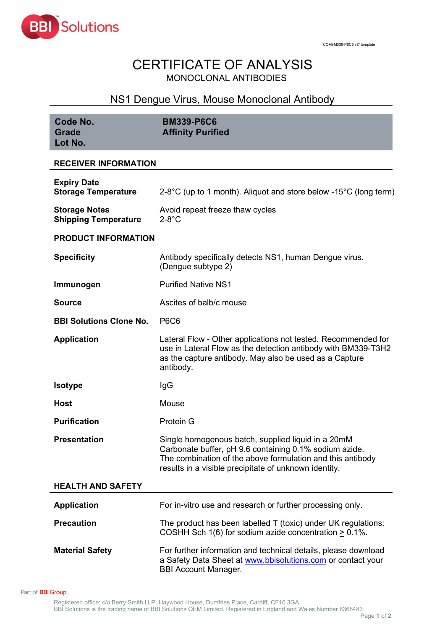

## CERTIFICATE OF ANALYSIS MONOCLONAL ANTIBODIES

## NS1 Dengue Virus, Mouse Monoclonal Antibody

| Code No.<br><b>Grade</b><br>Lot No.                 | <b>BM339-P6C6</b><br><b>Affinity Purified</b>                                                                                                                                                                                       |  |  |  |
|-----------------------------------------------------|-------------------------------------------------------------------------------------------------------------------------------------------------------------------------------------------------------------------------------------|--|--|--|
| <b>RECEIVER INFORMATION</b>                         |                                                                                                                                                                                                                                     |  |  |  |
| <b>Expiry Date</b><br><b>Storage Temperature</b>    | 2-8°C (up to 1 month). Aliquot and store below -15°C (long term)                                                                                                                                                                    |  |  |  |
| <b>Storage Notes</b><br><b>Shipping Temperature</b> | Avoid repeat freeze thaw cycles<br>$2-8$ °C                                                                                                                                                                                         |  |  |  |
| <b>PRODUCT INFORMATION</b>                          |                                                                                                                                                                                                                                     |  |  |  |
| <b>Specificity</b>                                  | Antibody specifically detects NS1, human Dengue virus.<br>(Dengue subtype 2)                                                                                                                                                        |  |  |  |
| Immunogen                                           | <b>Purified Native NS1</b>                                                                                                                                                                                                          |  |  |  |
| <b>Source</b>                                       | Ascites of balb/c mouse                                                                                                                                                                                                             |  |  |  |
| <b>BBI Solutions Clone No.</b>                      | <b>P6C6</b>                                                                                                                                                                                                                         |  |  |  |
| <b>Application</b>                                  | Lateral Flow - Other applications not tested. Recommended for<br>use in Lateral Flow as the detection antibody with BM339-T3H2<br>as the capture antibody. May also be used as a Capture<br>antibody.                               |  |  |  |
| <b>Isotype</b>                                      | lgG                                                                                                                                                                                                                                 |  |  |  |
| <b>Host</b>                                         | Mouse                                                                                                                                                                                                                               |  |  |  |
| <b>Purification</b>                                 | Protein G                                                                                                                                                                                                                           |  |  |  |
| <b>Presentation</b>                                 | Single homogenous batch, supplied liquid in a 20mM<br>Carbonate buffer, pH 9.6 containing 0.1% sodium azide.<br>The combination of the above formulation and this antibody<br>results in a visible precipitate of unknown identity. |  |  |  |
| <b>HEALTH AND SAFETY</b>                            |                                                                                                                                                                                                                                     |  |  |  |
| <b>Application</b>                                  | For in-vitro use and research or further processing only.                                                                                                                                                                           |  |  |  |
| <b>Precaution</b>                                   | The product has been labelled T (toxic) under UK regulations:<br>COSHH Sch 1(6) for sodium azide concentration $\geq 0.1\%$ .                                                                                                       |  |  |  |
| <b>Material Safety</b>                              | For further information and technical details, please download<br>a Safety Data Sheet at www.bbisolutions.com or contact your<br><b>BBI Account Manager.</b>                                                                        |  |  |  |

Part of **BBI Group**